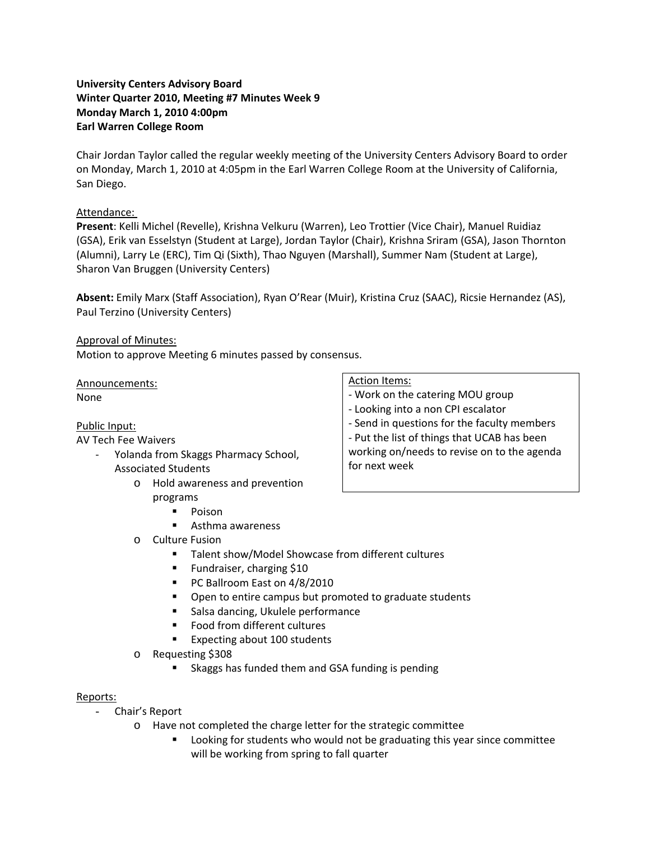# **University Centers Advisory Board Winter Quarter 2010, Meeting #7 Minutes Week 9 Monday March 1, 2010 4:00pm Earl Warren College Room**

Chair Jordan Taylor called the regular weekly meeting of the University Centers Advisory Board to order on Monday, March 1, 2010 at 4:05pm in the Earl Warren College Room at the University of California, San Diego.

## Attendance:

**Present**: Kelli Michel (Revelle), Krishna Velkuru (Warren), Leo Trottier (Vice Chair), Manuel Ruidiaz (GSA), Erik van Esselstyn (Student at Large), Jordan Taylor (Chair), Krishna Sriram (GSA), Jason Thornton (Alumni), Larry Le (ERC), Tim Qi (Sixth), Thao Nguyen (Marshall), Summer Nam (Student at Large), Sharon Van Bruggen (University Centers)

**Absent:** Emily Marx (Staff Association), Ryan O'Rear (Muir), Kristina Cruz (SAAC), Ricsie Hernandez (AS), Paul Terzino (University Centers)

## Approval of Minutes:

Motion to approve Meeting 6 minutes passed by consensus.

Announcements: None

## Public Input:

## AV Tech Fee Waivers

- ‐ Yolanda from Skaggs Pharmacy School, Associated Students
	- o Hold awareness and prevention programs
		- **Poison**
		- Asthma awareness
	- o Culture Fusion
		- Talent show/Model Showcase from different cultures
		- **Fundraiser, charging \$10**
		- PC Ballroom East on 4/8/2010
		- Open to entire campus but promoted to graduate students
		- Salsa dancing, Ukulele performance
		- Food from different cultures
		- Expecting about 100 students
	- o Requesting \$308
		- Skaggs has funded them and GSA funding is pending

## Reports:

- Chair's Report
	- o Have not completed the charge letter for the strategic committee
		- Looking for students who would not be graduating this year since committee will be working from spring to fall quarter

#### Action Items:

- ‐ Work on the catering MOU group
- ‐ Looking into a non CPI escalator
- ‐ Send in questions for the faculty members

‐ Put the list of things that UCAB has been working on/needs to revise on to the agenda for next week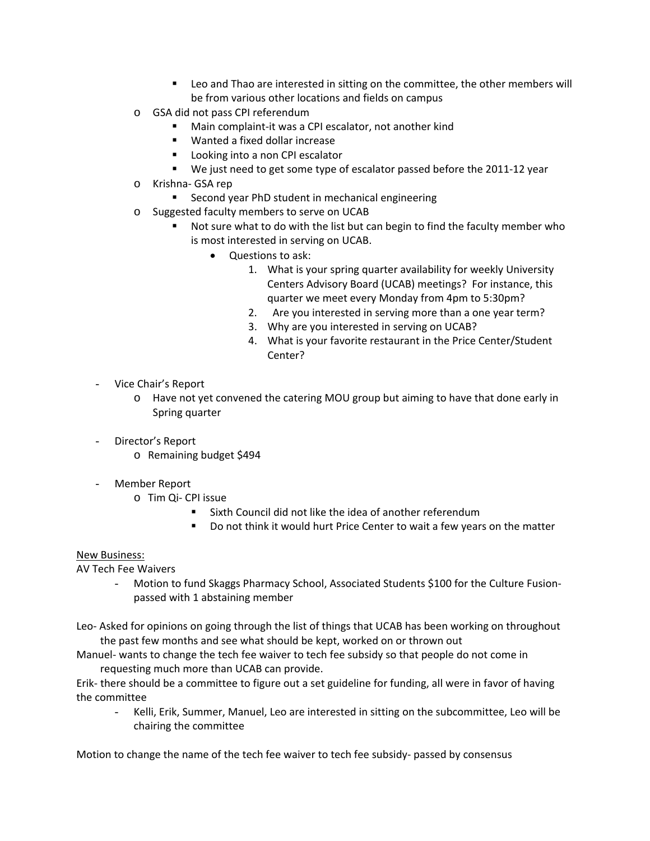- Leo and Thao are interested in sitting on the committee, the other members will be from various other locations and fields on campus
- o GSA did not pass CPI referendum
	- Main complaint-it was a CPI escalator, not another kind
	- Wanted a fixed dollar increase
	- **Looking into a non CPI escalator**
	- We just need to get some type of escalator passed before the 2011-12 year
- o Krishna‐ GSA rep
	- Second year PhD student in mechanical engineering
- o Suggested faculty members to serve on UCAB
	- Not sure what to do with the list but can begin to find the faculty member who is most interested in serving on UCAB.
		- Questions to ask:
			- 1. What is your spring quarter availability for weekly University Centers Advisory Board (UCAB) meetings? For instance, this quarter we meet every Monday from 4pm to 5:30pm?
			- 2. Are you interested in serving more than a one year term?
			- 3. Why are you interested in serving on UCAB?
			- 4. What is your favorite restaurant in the Price Center/Student Center?
- Vice Chair's Report
	- o Have not yet convened the catering MOU group but aiming to have that done early in Spring quarter
- Director's Report
	- o Remaining budget \$494
- Member Report
	- o Tim Qi‐ CPI issue
		- Sixth Council did not like the idea of another referendum
		- Do not think it would hurt Price Center to wait a few years on the matter

## New Business:

AV Tech Fee Waivers

Motion to fund Skaggs Pharmacy School, Associated Students \$100 for the Culture Fusionpassed with 1 abstaining member

Leo‐ Asked for opinions on going through the list of things that UCAB has been working on throughout the past few months and see what should be kept, worked on or thrown out

Manuel- wants to change the tech fee waiver to tech fee subsidy so that people do not come in requesting much more than UCAB can provide.

Erik‐ there should be a committee to figure out a set guideline for funding, all were in favor of having the committee

- Kelli, Erik, Summer, Manuel, Leo are interested in sitting on the subcommittee, Leo will be chairing the committee

Motion to change the name of the tech fee waiver to tech fee subsidy- passed by consensus